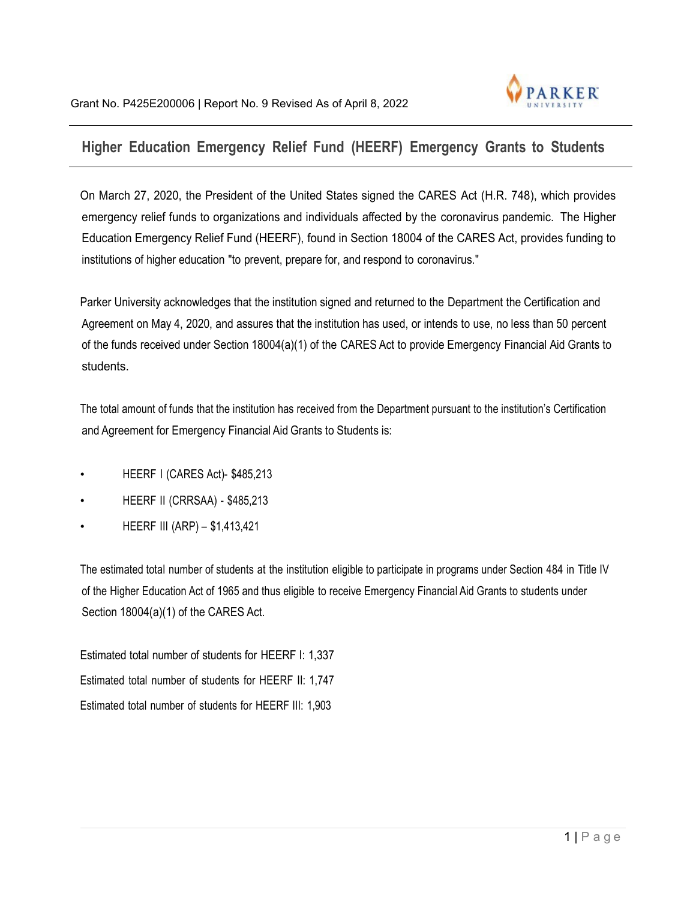

## **Higher Education Emergency Relief Fund (HEERF) Emergency Grants to Students**

On March 27, 2020, the President of the United States signed the CARES Act (H.R. 748), which provides emergency relief funds to organizations and individuals affected by the coronavirus pandemic. The Higher Education Emergency Relief Fund (HEERF), found in Section 18004 of the CARES Act, provides funding to institutions of higher education "to prevent, prepare for, and respond to coronavirus."

Parker University acknowledges that the institution signed and returned to the Department the Certification and Agreement on May 4, 2020, and assures that the institution has used, or intends to use, no less than 50 percent of the funds received under Section 18004(a)(1) of the CARES Act to provide Emergency Financial Aid Grants to students.

The total amount of funds that the institution has received from the Department pursuant to the institution's Certification and Agreement for Emergency Financial Aid Grants to Students is:

- HEERF I (CARES Act)- \$485,213
- HEERF II (CRRSAA) \$485,213
- HEERF III (ARP) \$1,413,421

The estimated total number of students at the institution eligible to participate in programs under Section 484 in Title IV of the Higher Education Act of 1965 and thus eligible to receive Emergency Financial Aid Grants to students under Section 18004(a)(1) of the CARES Act.

Estimated total number of students for HEERF I: 1,337 Estimated total number of students for HEERF II: 1,747 Estimated total number of students for HEERF III: 1,903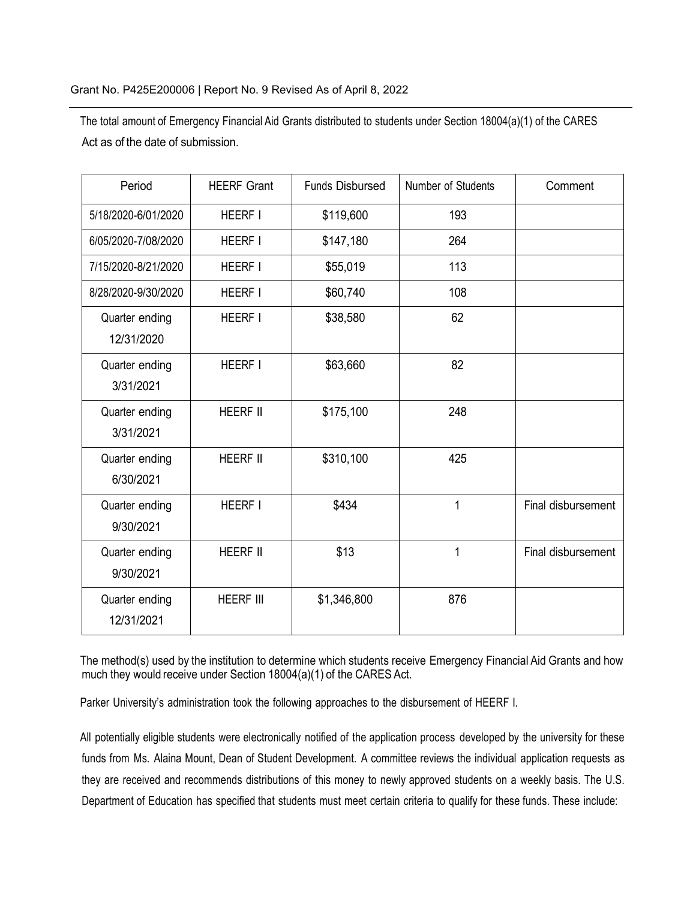The total amount of Emergency Financial Aid Grants distributed to students under Section 18004(a)(1) of the CARES Act as of the date of submission.

| Period                       | <b>HEERF Grant</b> | <b>Funds Disbursed</b> | Number of Students | Comment            |
|------------------------------|--------------------|------------------------|--------------------|--------------------|
| 5/18/2020-6/01/2020          | <b>HEERF I</b>     | \$119,600              | 193                |                    |
| 6/05/2020-7/08/2020          | <b>HEERF I</b>     | \$147,180              | 264                |                    |
| 7/15/2020-8/21/2020          | <b>HEERF I</b>     | \$55,019               | 113                |                    |
| 8/28/2020-9/30/2020          | <b>HEERF I</b>     | \$60,740               | 108                |                    |
| Quarter ending<br>12/31/2020 | <b>HEERF I</b>     | \$38,580               | 62                 |                    |
| Quarter ending<br>3/31/2021  | <b>HEERF I</b>     | \$63,660               | 82                 |                    |
| Quarter ending<br>3/31/2021  | <b>HEERF II</b>    | \$175,100              | 248                |                    |
| Quarter ending<br>6/30/2021  | <b>HEERF II</b>    | \$310,100              | 425                |                    |
| Quarter ending<br>9/30/2021  | <b>HEERF I</b>     | \$434                  | $\mathbf{1}$       | Final disbursement |
| Quarter ending<br>9/30/2021  | <b>HEERF II</b>    | \$13                   | 1                  | Final disbursement |
| Quarter ending<br>12/31/2021 | <b>HEERF III</b>   | \$1,346,800            | 876                |                    |

The method(s) used by the institution to determine which students receive Emergency Financial Aid Grants and how much they would receive under Section 18004(a)(1) of the CARES Act.

Parker University's administration took the following approaches to the disbursement of HEERF I.

All potentially eligible students were electronically notified of the application process developed by the university for these funds from Ms. Alaina Mount, Dean of Student Development. A committee reviews the individual application requests as they are received and recommends distributions of this money to newly approved students on a weekly basis. The U.S. Department of Education has specified that students must meet certain criteria to qualify for these funds. These include: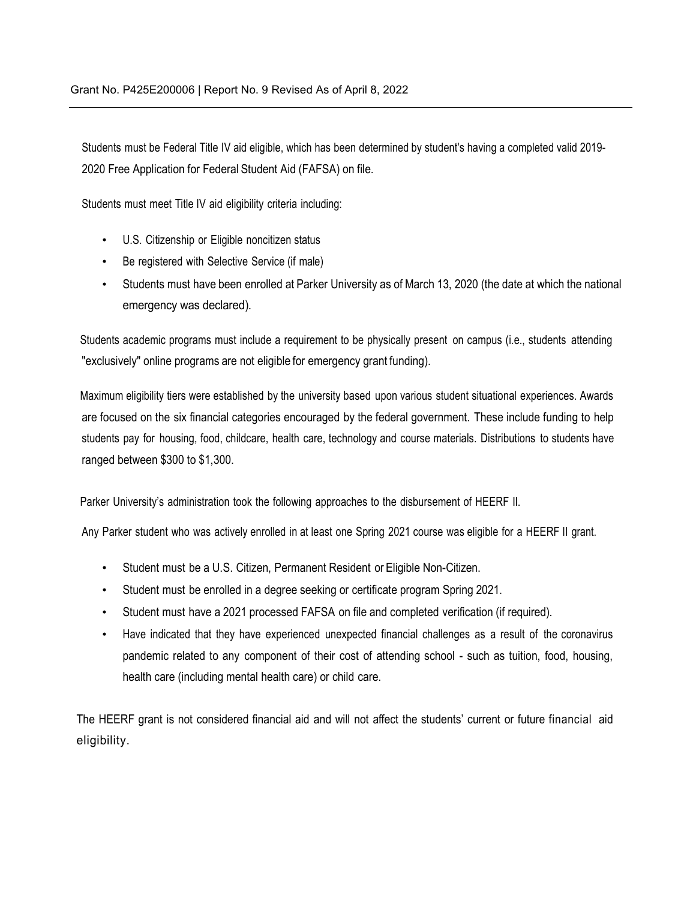Students must be Federal Title IV aid eligible, which has been determined by student's having a completed valid 2019- 2020 Free Application for Federal Student Aid (FAFSA) on file.

Students must meet Title IV aid eligibility criteria including:

- U.S. Citizenship or Eligible noncitizen status
- Be registered with Selective Service (if male)
- Students must have been enrolled at Parker University as of March 13, 2020 (the date at which the national emergency was declared).

Students academic programs must include a requirement to be physically present on campus (i.e., students attending "exclusively" online programs are not eligible for emergency grant funding).

Maximum eligibility tiers were established by the university based upon various student situational experiences. Awards are focused on the six financial categories encouraged by the federal government. These include funding to help students pay for housing, food, childcare, health care, technology and course materials. Distributions to students have ranged between \$300 to \$1,300.

Parker University's administration took the following approaches to the disbursement of HEERF II.

Any Parker student who was actively enrolled in at least one Spring 2021 course was eligible for a HEERF II grant.

- Student must be a U.S. Citizen, Permanent Resident or Eligible Non-Citizen.
- Student must be enrolled in a degree seeking or certificate program Spring 2021.
- Student must have a 2021 processed FAFSA on file and completed verification (if required).
- Have indicated that they have experienced unexpected financial challenges as a result of the coronavirus pandemic related to any component of their cost of attending school - such as tuition, food, housing, health care (including mental health care) or child care.

The HEERF grant is not considered financial aid and will not affect the students' current or future financial aid eligibility.